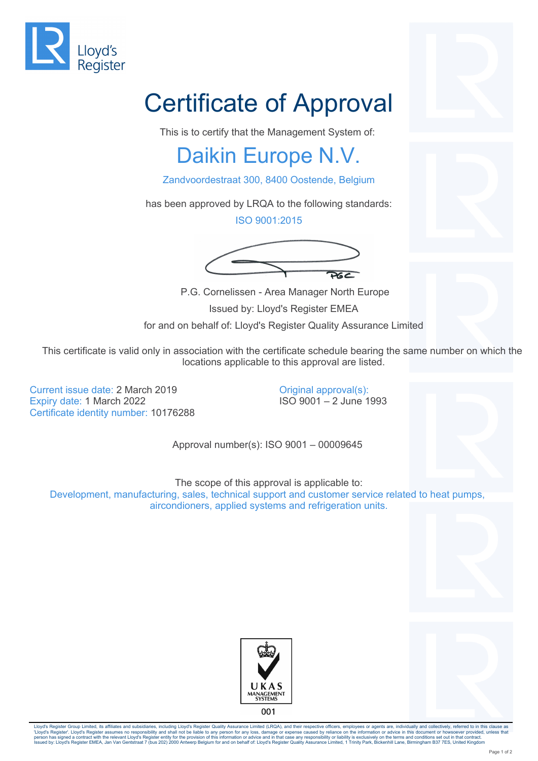

## Certificate of Approval

This is to certify that the Management System of:

## Daikin Europe N.V.

Zandvoordestraat 300, 8400 Oostende, Belgium

has been approved by LRQA to the following standards:

ISO 9001:2015



P.G. Cornelissen - Area Manager North Europe

Issued by: Lloyd's Register EMEA

for and on behalf of: Lloyd's Register Quality Assurance Limited

This certificate is valid only in association with the certificate schedule bearing the same number on which the locations applicable to this approval are listed.

Current issue date: 2 March 2019 Expiry date: 1 March 2022 Certificate identity number: 10176288

Original approval(s): ISO 9001 – 2 June 1993

Approval number(s): ISO 9001 – 00009645

The scope of this approval is applicable to: Development, manufacturing, sales, technical support and customer service related to heat pumps, aircondioners, applied systems and refrigeration units.





Lloyd's Register Group Limited, its affiliates and subsidiaries, including Lloyd's Register Quality Assurance Limited (LRQA), and their respective officers, employees or agents are, individually and collectively, referred